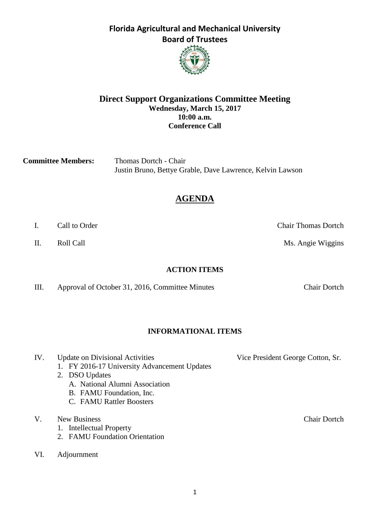1

# **Florida Agricultural and Mechanical University Board of Trustees**



**Committee Members:** Thomas Dortch - Chair Justin Bruno, Bettye Grable, Dave Lawrence, Kelvin Lawson

# **AGENDA**

- I. Call to Order Chair Thomas Dortch
- II. Roll Call **Call Call** Ms. Angie Wiggins

**ACTION ITEMS**

III. Approval of October 31, 2016, Committee Minutes Chair Dortch

## **INFORMATIONAL ITEMS**

IV. Update on Divisional Activities Vice President George Cotton, Sr. 1. FY 2016-17 University Advancement Updates 2. DSO Updates A. National Alumni Association B. FAMU Foundation, Inc. C. FAMU Rattler Boosters V. New Business Chair Dortch 1. Intellectual Property 2. FAMU Foundation Orientation VI. Adjournment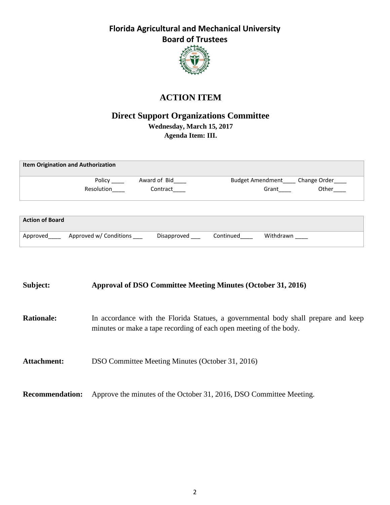

# **ACTION ITEM**

## **Direct Support Organizations Committee Wednesday, March 15, 2017 Agenda Item: III.**

| <b>Item Origination and Authorization</b> |            |              |                                          |  |  |  |  |
|-------------------------------------------|------------|--------------|------------------------------------------|--|--|--|--|
|                                           | Policy     | Award of Bid | Budget Amendment _____ Change Order ____ |  |  |  |  |
|                                           | Resolution | Contract     | Other<br>Grant                           |  |  |  |  |
|                                           |            |              |                                          |  |  |  |  |
| <b>Action of Board</b>                    |            |              |                                          |  |  |  |  |

| Approved | Approved w/ Conditions<br>___ | Disapproved | Continued | Withdrawn |
|----------|-------------------------------|-------------|-----------|-----------|

## **Subject: Approval of DSO Committee Meeting Minutes (October 31, 2016)**

- **Rationale:** In accordance with the Florida Statues, a governmental body shall prepare and keep minutes or make a tape recording of each open meeting of the body.
- Attachment: DSO Committee Meeting Minutes (October 31, 2016)

**Recommendation:** Approve the minutes of the October 31, 2016, DSO Committee Meeting.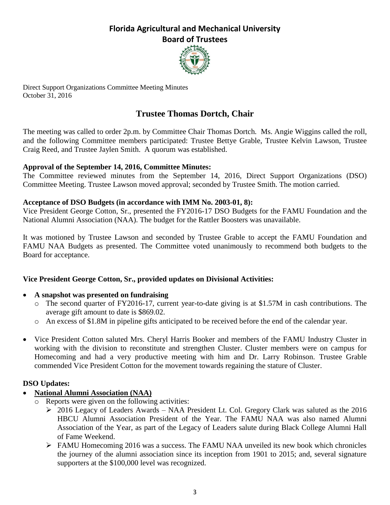

Direct Support Organizations Committee Meeting Minutes October 31, 2016

# **Trustee Thomas Dortch, Chair**

The meeting was called to order 2p.m. by Committee Chair Thomas Dortch*.* Ms. Angie Wiggins called the roll, and the following Committee members participated: Trustee Bettye Grable, Trustee Kelvin Lawson, Trustee Craig Reed*,* and Trustee Jaylen Smith. A quorum was established.

#### **Approval of the September 14, 2016, Committee Minutes:**

The Committee reviewed minutes from the September 14, 2016, Direct Support Organizations (DSO) Committee Meeting. Trustee Lawson moved approval; seconded by Trustee Smith. The motion carried.

#### **Acceptance of DSO Budgets (in accordance with IMM No. 2003-01, 8):**

Vice President George Cotton, Sr., presented the FY2016-17 DSO Budgets for the FAMU Foundation and the National Alumni Association (NAA). The budget for the Rattler Boosters was unavailable.

It was motioned by Trustee Lawson and seconded by Trustee Grable to accept the FAMU Foundation and FAMU NAA Budgets as presented. The Committee voted unanimously to recommend both budgets to the Board for acceptance.

#### **Vice President George Cotton, Sr., provided updates on Divisional Activities:**

#### **A snapshot was presented on fundraising**

- o The second quarter of FY2016-17, current year-to-date giving is at \$1.57M in cash contributions. The average gift amount to date is \$869.02.
- o An excess of \$1.8M in pipeline gifts anticipated to be received before the end of the calendar year.
- Vice President Cotton saluted Mrs. Cheryl Harris Booker and members of the FAMU Industry Cluster in working with the division to reconstitute and strengthen Cluster. Cluster members were on campus for Homecoming and had a very productive meeting with him and Dr. Larry Robinson. Trustee Grable commended Vice President Cotton for the movement towards regaining the stature of Cluster.

#### **DSO Updates:**

- **National Alumni Association (NAA)**
	- o Reports were given on the following activities:
		- 2016 Legacy of Leaders Awards NAA President Lt. Col. Gregory Clark was saluted as the 2016 HBCU Alumni Association President of the Year. The FAMU NAA was also named Alumni Association of the Year, as part of the Legacy of Leaders salute during Black College Alumni Hall of Fame Weekend.
		- FAMU Homecoming 2016 was a success. The FAMU NAA unveiled its new book which chronicles the journey of the alumni association since its inception from 1901 to 2015; and, several signature supporters at the \$100,000 level was recognized.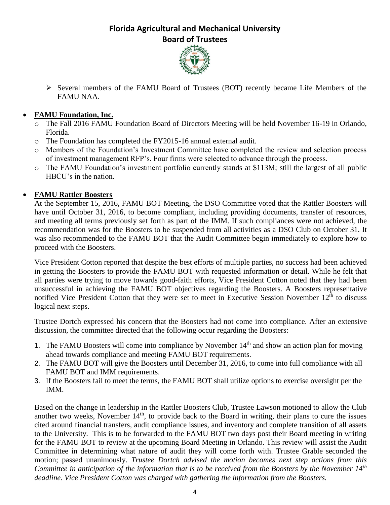

 Several members of the FAMU Board of Trustees (BOT) recently became Life Members of the FAMU NAA.

## **FAMU Foundation, Inc.**

- o The Fall 2016 FAMU Foundation Board of Directors Meeting will be held November 16-19 in Orlando, Florida.
- o The Foundation has completed the FY2015-16 annual external audit.
- o Members of the Foundation's Investment Committee have completed the review and selection process of investment management RFP's. Four firms were selected to advance through the process.
- o The FAMU Foundation's investment portfolio currently stands at \$113M; still the largest of all public HBCU's in the nation.

## **FAMU Rattler Boosters**

At the September 15, 2016, FAMU BOT Meeting, the DSO Committee voted that the Rattler Boosters will have until October 31, 2016, to become compliant, including providing documents, transfer of resources, and meeting all terms previously set forth as part of the IMM. If such compliances were not achieved, the recommendation was for the Boosters to be suspended from all activities as a DSO Club on October 31. It was also recommended to the FAMU BOT that the Audit Committee begin immediately to explore how to proceed with the Boosters.

Vice President Cotton reported that despite the best efforts of multiple parties, no success had been achieved in getting the Boosters to provide the FAMU BOT with requested information or detail. While he felt that all parties were trying to move towards good-faith efforts, Vice President Cotton noted that they had been unsuccessful in achieving the FAMU BOT objectives regarding the Boosters. A Boosters representative notified Vice President Cotton that they were set to meet in Executive Session November 12<sup>th</sup> to discuss logical next steps.

Trustee Dortch expressed his concern that the Boosters had not come into compliance. After an extensive discussion, the committee directed that the following occur regarding the Boosters:

- 1. The FAMU Boosters will come into compliance by November  $14<sup>th</sup>$  and show an action plan for moving ahead towards compliance and meeting FAMU BOT requirements.
- 2. The FAMU BOT will give the Boosters until December 31, 2016, to come into full compliance with all FAMU BOT and IMM requirements.
- 3. If the Boosters fail to meet the terms, the FAMU BOT shall utilize options to exercise oversight per the IMM.

Based on the change in leadership in the Rattler Boosters Club, Trustee Lawson motioned to allow the Club another two weeks, November  $14<sup>th</sup>$ , to provide back to the Board in writing, their plans to cure the issues cited around financial transfers, audit compliance issues, and inventory and complete transition of all assets to the University. This is to be forwarded to the FAMU BOT two days post their Board meeting in writing for the FAMU BOT to review at the upcoming Board Meeting in Orlando. This review will assist the Audit Committee in determining what nature of audit they will come forth with. Trustee Grable seconded the motion; passed unanimously. *Trustee Dortch advised the motion becomes next step actions from this Committee in anticipation of the information that is to be received from the Boosters by the November 14th deadline. Vice President Cotton was charged with gathering the information from the Boosters.*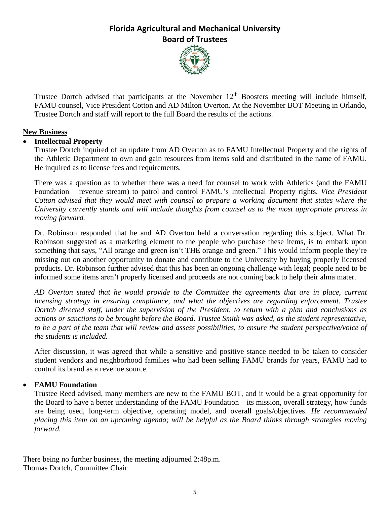

Trustee Dortch advised that participants at the November  $12<sup>th</sup>$  Boosters meeting will include himself, FAMU counsel, Vice President Cotton and AD Milton Overton. At the November BOT Meeting in Orlando, Trustee Dortch and staff will report to the full Board the results of the actions.

#### **New Business**

#### **Intellectual Property**

Trustee Dortch inquired of an update from AD Overton as to FAMU Intellectual Property and the rights of the Athletic Department to own and gain resources from items sold and distributed in the name of FAMU. He inquired as to license fees and requirements.

There was a question as to whether there was a need for counsel to work with Athletics (and the FAMU Foundation – revenue stream) to patrol and control FAMU's Intellectual Property rights. *Vice President Cotton advised that they would meet with counsel to prepare a working document that states where the University currently stands and will include thoughts from counsel as to the most appropriate process in moving forward.*

Dr. Robinson responded that he and AD Overton held a conversation regarding this subject. What Dr. Robinson suggested as a marketing element to the people who purchase these items, is to embark upon something that says, "All orange and green isn't THE orange and green." This would inform people they're missing out on another opportunity to donate and contribute to the University by buying properly licensed products. Dr. Robinson further advised that this has been an ongoing challenge with legal; people need to be informed some items aren't properly licensed and proceeds are not coming back to help their alma mater.

*AD Overton stated that he would provide to the Committee the agreements that are in place, current licensing strategy in ensuring compliance, and what the objectives are regarding enforcement. Trustee Dortch directed staff, under the supervision of the President, to return with a plan and conclusions as* actions or sanctions to be brought before the Board. Trustee Smith was asked, as the student representative, to be a part of the team that will review and assess possibilities, to ensure the student perspective/voice of *the students is included.*

After discussion, it was agreed that while a sensitive and positive stance needed to be taken to consider student vendors and neighborhood families who had been selling FAMU brands for years, FAMU had to control its brand as a revenue source.

## **FAMU Foundation**

Trustee Reed advised, many members are new to the FAMU BOT, and it would be a great opportunity for the Board to have a better understanding of the FAMU Foundation – its mission, overall strategy, how funds are being used, long-term objective, operating model, and overall goals/objectives. *He recommended placing this item on an upcoming agenda; will be helpful as the Board thinks through strategies moving forward.*

There being no further business, the meeting adjourned 2:48p.m. Thomas Dortch, Committee Chair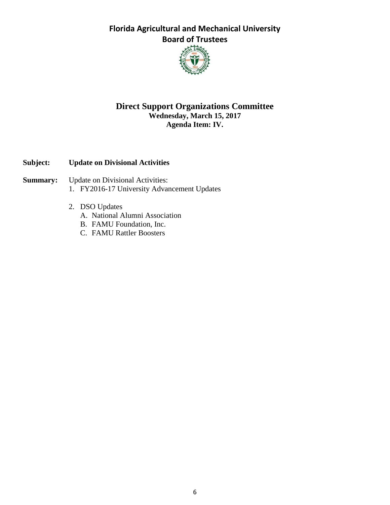

## **Direct Support Organizations Committee Wednesday, March 15, 2017 Agenda Item: IV.**

## **Subject: Update on Divisional Activities**

- **Summary:** Update on Divisional Activities:
	- 1. FY2016-17 University Advancement Updates
	- 2. DSO Updates
		- A. National Alumni Association
		- B. FAMU Foundation, Inc.
		- C. FAMU Rattler Boosters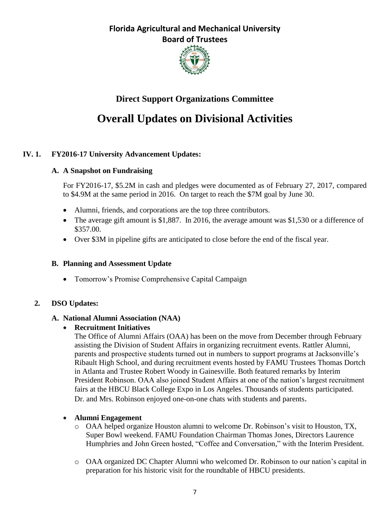

# **Direct Support Organizations Committee**

# **Overall Updates on Divisional Activities**

## **IV. 1. FY2016-17 University Advancement Updates:**

#### **A. A Snapshot on Fundraising**

For FY2016-17, \$5.2M in cash and pledges were documented as of February 27, 2017, compared to \$4.9M at the same period in 2016. On target to reach the \$7M goal by June 30.

- Alumni, friends, and corporations are the top three contributors.
- The average gift amount is \$1,887. In 2016, the average amount was \$1,530 or a difference of \$357.00.
- Over \$3M in pipeline gifts are anticipated to close before the end of the fiscal year.

## **B. Planning and Assessment Update**

• Tomorrow's Promise Comprehensive Capital Campaign

## **2. DSO Updates:**

#### **A. National Alumni Association (NAA)**

**Recruitment Initiatives**

The Office of Alumni Affairs (OAA) has been on the move from December through February assisting the Division of Student Affairs in organizing recruitment events. Rattler Alumni, parents and prospective students turned out in numbers to support programs at Jacksonville's Ribault High School, and during recruitment events hosted by FAMU Trustees Thomas Dortch in Atlanta and Trustee Robert Woody in Gainesville. Both featured remarks by Interim President Robinson. OAA also joined Student Affairs at one of the nation's largest recruitment fairs at the HBCU Black College Expo in Los Angeles. Thousands of students participated. Dr. and Mrs. Robinson enjoyed one-on-one chats with students and parents.

#### **Alumni Engagement**

- o OAA helped organize Houston alumni to welcome Dr. Robinson's visit to Houston, TX, Super Bowl weekend. FAMU Foundation Chairman Thomas Jones, Directors Laurence Humphries and John Green hosted, "Coffee and Conversation," with the Interim President.
- o OAA organized DC Chapter Alumni who welcomed Dr. Robinson to our nation's capital in preparation for his historic visit for the roundtable of HBCU presidents.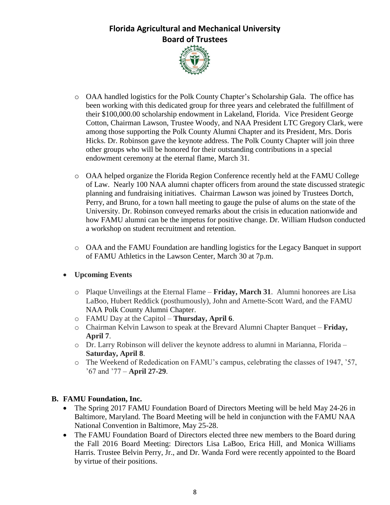

- o OAA handled logistics for the Polk County Chapter's Scholarship Gala. The office has been working with this dedicated group for three years and celebrated the fulfillment of their \$100,000.00 scholarship endowment in Lakeland, Florida. Vice President George Cotton, Chairman Lawson, Trustee Woody, and NAA President LTC Gregory Clark, were among those supporting the Polk County Alumni Chapter and its President, Mrs. Doris Hicks. Dr. Robinson gave the keynote address. The Polk County Chapter will join three other groups who will be honored for their outstanding contributions in a special endowment ceremony at the eternal flame, March 31.
- o OAA helped organize the Florida Region Conference recently held at the FAMU College of Law. Nearly 100 NAA alumni chapter officers from around the state discussed strategic planning and fundraising initiatives. Chairman Lawson was joined by Trustees Dortch, Perry, and Bruno, for a town hall meeting to gauge the pulse of alums on the state of the University. Dr. Robinson conveyed remarks about the crisis in education nationwide and how FAMU alumni can be the impetus for positive change. Dr. William Hudson conducted a workshop on student recruitment and retention.
- o OAA and the FAMU Foundation are handling logistics for the Legacy Banquet in support of FAMU Athletics in the Lawson Center, March 30 at 7p.m.

## **Upcoming Events**

- o Plaque Unveilings at the Eternal Flame **Friday, March 31**. Alumni honorees are Lisa LaBoo, Hubert Reddick (posthumously), John and Arnette-Scott Ward, and the FAMU NAA Polk County Alumni Chapter.
- o FAMU Day at the Capitol **Thursday, April 6**.
- o Chairman Kelvin Lawson to speak at the Brevard Alumni Chapter Banquet **Friday, April 7**.
- o Dr. Larry Robinson will deliver the keynote address to alumni in Marianna, Florida **Saturday, April 8**.
- o The Weekend of Rededication on FAMU's campus, celebrating the classes of 1947, '57, '67 and '77 – **April 27-29**.

#### **B. FAMU Foundation, Inc.**

- The Spring 2017 FAMU Foundation Board of Directors Meeting will be held May 24-26 in Baltimore, Maryland. The Board Meeting will be held in conjunction with the FAMU NAA National Convention in Baltimore, May 25-28.
- The FAMU Foundation Board of Directors elected three new members to the Board during the Fall 2016 Board Meeting: Directors Lisa LaBoo, Erica Hill, and Monica Williams Harris. Trustee Belvin Perry, Jr., and Dr. Wanda Ford were recently appointed to the Board by virtue of their positions.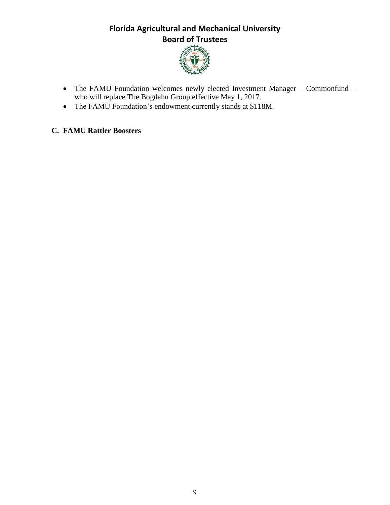

- The FAMU Foundation welcomes newly elected Investment Manager Commonfund who will replace The Bogdahn Group effective May 1, 2017.
- The FAMU Foundation's endowment currently stands at \$118M.

## **C. FAMU Rattler Boosters**